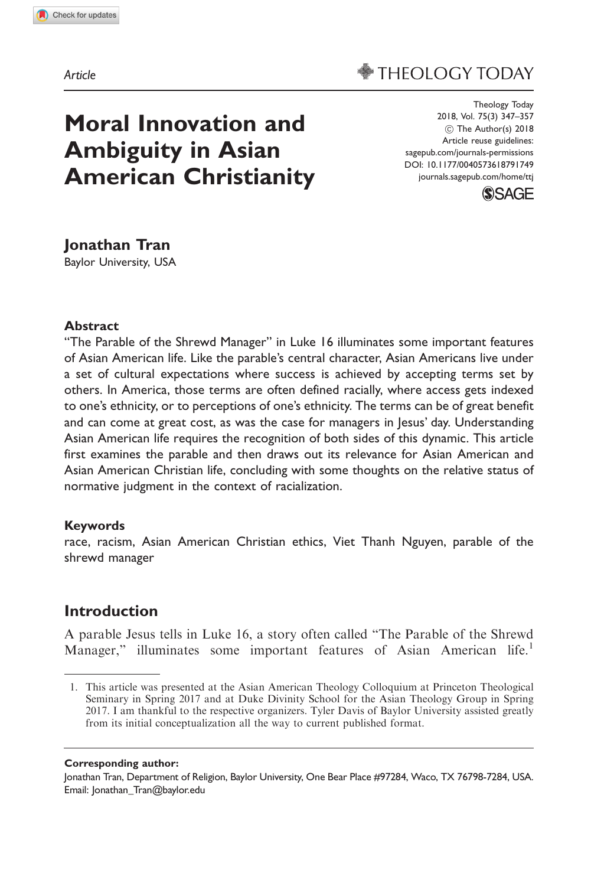Article

## $\blacksquare$  THEOLOGY TODAY

# Moral Innovation and Ambiguity in Asian American Christianity

Theology Today 2018, Vol. 75(3) 347–357  $\circ$  The Author(s) 2018 Article reuse guidelines: [sagepub.com/journals-permissions](http://uk.sagepub.com/en-gb/journals-permissions) [DOI: 10.1177/0040573618791749](http://dx.doi.org/10.1177/0040573618791749) <journals.sagepub.com/home/ttj>



## Jonathan Tran

Baylor University, USA

#### Abstract

"The Parable of the Shrewd Manager" in Luke 16 illuminates some important features of Asian American life. Like the parable's central character, Asian Americans live under a set of cultural expectations where success is achieved by accepting terms set by others. In America, those terms are often defined racially, where access gets indexed to one's ethnicity, or to perceptions of one's ethnicity. The terms can be of great benefit and can come at great cost, as was the case for managers in Jesus' day. Understanding Asian American life requires the recognition of both sides of this dynamic. This article first examines the parable and then draws out its relevance for Asian American and Asian American Christian life, concluding with some thoughts on the relative status of normative judgment in the context of racialization.

#### Keywords

race, racism, Asian American Christian ethics, Viet Thanh Nguyen, parable of the shrewd manager

## Introduction

A parable Jesus tells in Luke 16, a story often called "The Parable of the Shrewd Manager," illuminates some important features of Asian American life.<sup>1</sup>

#### Corresponding author:

Jonathan Tran, Department of Religion, Baylor University, One Bear Place #97284, Waco, TX 76798-7284, USA. Email: [Jonathan\\_Tran@baylor.edu](mailto:Jonathan_Tran@baylor.edu)

<sup>1.</sup> This article was presented at the Asian American Theology Colloquium at Princeton Theological Seminary in Spring 2017 and at Duke Divinity School for the Asian Theology Group in Spring 2017. I am thankful to the respective organizers. Tyler Davis of Baylor University assisted greatly from its initial conceptualization all the way to current published format.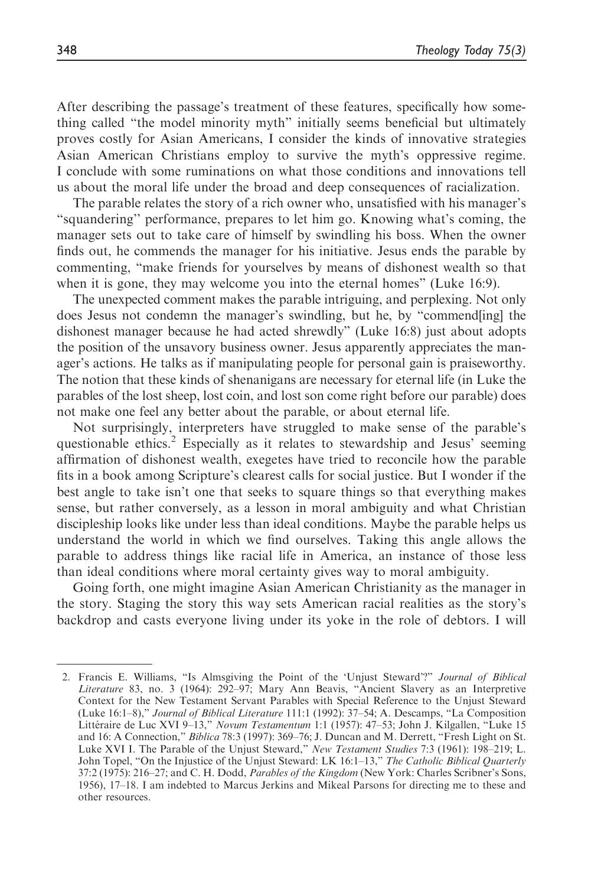After describing the passage's treatment of these features, specifically how something called "the model minority myth" initially seems beneficial but ultimately proves costly for Asian Americans, I consider the kinds of innovative strategies Asian American Christians employ to survive the myth's oppressive regime. I conclude with some ruminations on what those conditions and innovations tell us about the moral life under the broad and deep consequences of racialization.

The parable relates the story of a rich owner who, unsatisfied with his manager's "squandering'' performance, prepares to let him go. Knowing what's coming, the manager sets out to take care of himself by swindling his boss. When the owner finds out, he commends the manager for his initiative. Jesus ends the parable by commenting, "make friends for yourselves by means of dishonest wealth so that when it is gone, they may welcome you into the eternal homes" (Luke 16:9).

The unexpected comment makes the parable intriguing, and perplexing. Not only does Jesus not condemn the manager's swindling, but he, by "commend[ing] the dishonest manager because he had acted shrewdly" (Luke 16:8) just about adopts the position of the unsavory business owner. Jesus apparently appreciates the manager's actions. He talks as if manipulating people for personal gain is praiseworthy. The notion that these kinds of shenanigans are necessary for eternal life (in Luke the parables of the lost sheep, lost coin, and lost son come right before our parable) does not make one feel any better about the parable, or about eternal life.

Not surprisingly, interpreters have struggled to make sense of the parable's questionable ethics.<sup>2</sup> Especially as it relates to stewardship and Jesus' seeming affirmation of dishonest wealth, exegetes have tried to reconcile how the parable fits in a book among Scripture's clearest calls for social justice. But I wonder if the best angle to take isn't one that seeks to square things so that everything makes sense, but rather conversely, as a lesson in moral ambiguity and what Christian discipleship looks like under less than ideal conditions. Maybe the parable helps us understand the world in which we find ourselves. Taking this angle allows the parable to address things like racial life in America, an instance of those less than ideal conditions where moral certainty gives way to moral ambiguity.

Going forth, one might imagine Asian American Christianity as the manager in the story. Staging the story this way sets American racial realities as the story's backdrop and casts everyone living under its yoke in the role of debtors. I will

<sup>2.</sup> Francis E. Williams, "Is Almsgiving the Point of the 'Unjust Steward'?" Journal of Biblical Literature 83, no. 3 (1964): 292–97; Mary Ann Beavis, "Ancient Slavery as an Interpretive Context for the New Testament Servant Parables with Special Reference to the Unjust Steward (Luke 16:1–8)," Journal of Biblical Literature 111:1 (1992): 37–54; A. Descamps, "La Composition Littéraire de Luc XVI 9-13," Novum Testamentum 1:1 (1957): 47-53; John J. Kilgallen, "Luke 15 and 16: A Connection," Biblica 78:3 (1997): 369–76; J. Duncan and M. Derrett, "Fresh Light on St. Luke XVI I. The Parable of the Unjust Steward," New Testament Studies 7:3 (1961): 198–219; L. John Topel, "On the Injustice of the Unjust Steward: LK 16:1-13," The Catholic Biblical Quarterly 37:2 (1975): 216–27; and C. H. Dodd, Parables of the Kingdom (New York: Charles Scribner's Sons, 1956), 17–18. I am indebted to Marcus Jerkins and Mikeal Parsons for directing me to these and other resources.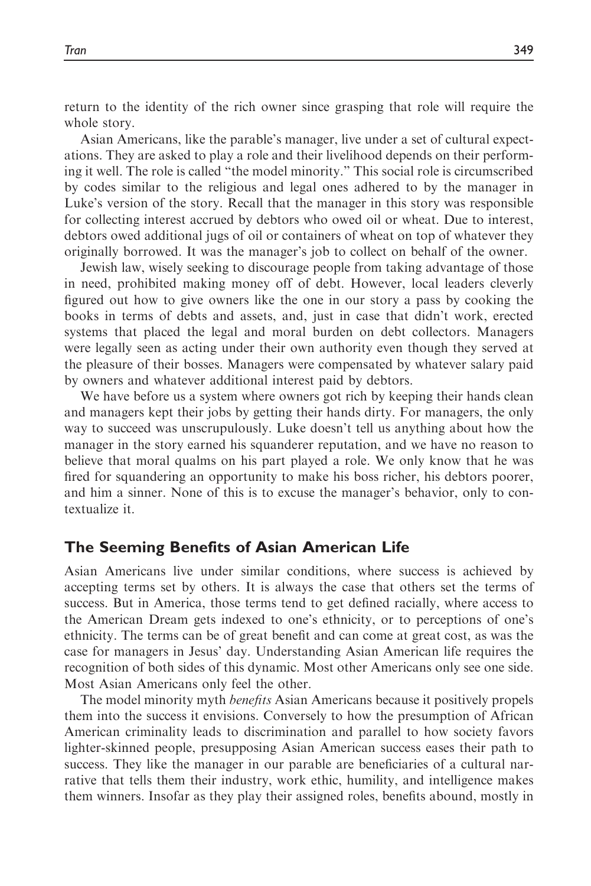return to the identity of the rich owner since grasping that role will require the whole story.

Asian Americans, like the parable's manager, live under a set of cultural expectations. They are asked to play a role and their livelihood depends on their performing it well. The role is called "the model minority." This social role is circumscribed by codes similar to the religious and legal ones adhered to by the manager in Luke's version of the story. Recall that the manager in this story was responsible for collecting interest accrued by debtors who owed oil or wheat. Due to interest, debtors owed additional jugs of oil or containers of wheat on top of whatever they originally borrowed. It was the manager's job to collect on behalf of the owner.

Jewish law, wisely seeking to discourage people from taking advantage of those in need, prohibited making money off of debt. However, local leaders cleverly figured out how to give owners like the one in our story a pass by cooking the books in terms of debts and assets, and, just in case that didn't work, erected systems that placed the legal and moral burden on debt collectors. Managers were legally seen as acting under their own authority even though they served at the pleasure of their bosses. Managers were compensated by whatever salary paid by owners and whatever additional interest paid by debtors.

We have before us a system where owners got rich by keeping their hands clean and managers kept their jobs by getting their hands dirty. For managers, the only way to succeed was unscrupulously. Luke doesn't tell us anything about how the manager in the story earned his squanderer reputation, and we have no reason to believe that moral qualms on his part played a role. We only know that he was fired for squandering an opportunity to make his boss richer, his debtors poorer, and him a sinner. None of this is to excuse the manager's behavior, only to contextualize it.

### The Seeming Benefits of Asian American Life

Asian Americans live under similar conditions, where success is achieved by accepting terms set by others. It is always the case that others set the terms of success. But in America, those terms tend to get defined racially, where access to the American Dream gets indexed to one's ethnicity, or to perceptions of one's ethnicity. The terms can be of great benefit and can come at great cost, as was the case for managers in Jesus' day. Understanding Asian American life requires the recognition of both sides of this dynamic. Most other Americans only see one side. Most Asian Americans only feel the other.

The model minority myth benefits Asian Americans because it positively propels them into the success it envisions. Conversely to how the presumption of African American criminality leads to discrimination and parallel to how society favors lighter-skinned people, presupposing Asian American success eases their path to success. They like the manager in our parable are beneficiaries of a cultural narrative that tells them their industry, work ethic, humility, and intelligence makes them winners. Insofar as they play their assigned roles, benefits abound, mostly in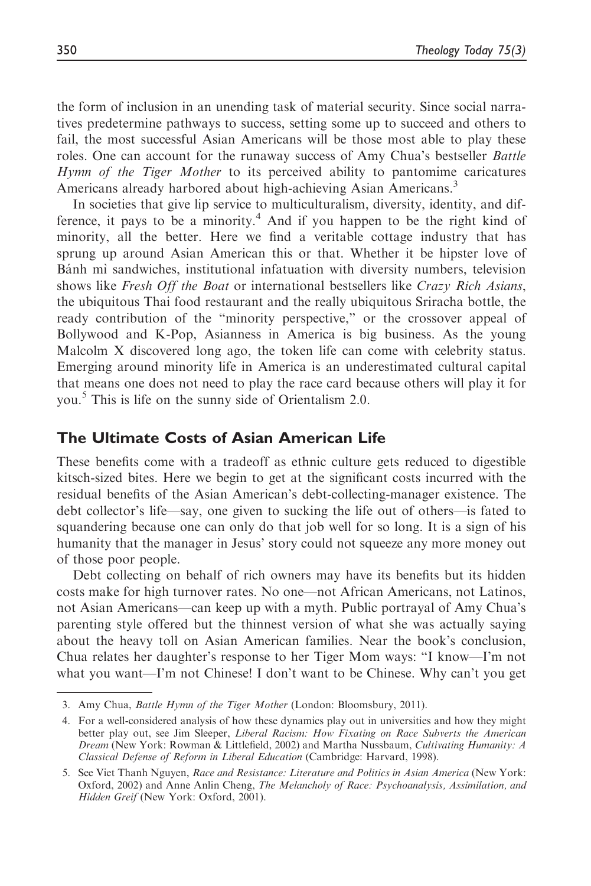the form of inclusion in an unending task of material security. Since social narratives predetermine pathways to success, setting some up to succeed and others to fail, the most successful Asian Americans will be those most able to play these roles. One can account for the runaway success of Amy Chua's bestseller *Battle* Hymn of the Tiger Mother to its perceived ability to pantomime caricatures Americans already harbored about high-achieving Asian Americans.<sup>3</sup>

In societies that give lip service to multiculturalism, diversity, identity, and difference, it pays to be a minority.<sup>4</sup> And if you happen to be the right kind of minority, all the better. Here we find a veritable cottage industry that has sprung up around Asian American this or that. Whether it be hipster love of Bánh mì sandwiches, institutional infatuation with diversity numbers, television shows like Fresh Off the Boat or international bestsellers like Crazy Rich Asians, the ubiquitous Thai food restaurant and the really ubiquitous Sriracha bottle, the ready contribution of the "minority perspective," or the crossover appeal of Bollywood and K-Pop, Asianness in America is big business. As the young Malcolm X discovered long ago, the token life can come with celebrity status. Emerging around minority life in America is an underestimated cultural capital that means one does not need to play the race card because others will play it for you.<sup>5</sup> This is life on the sunny side of Orientalism 2.0.

## The Ultimate Costs of Asian American Life

These benefits come with a tradeoff as ethnic culture gets reduced to digestible kitsch-sized bites. Here we begin to get at the significant costs incurred with the residual benefits of the Asian American's debt-collecting-manager existence. The debt collector's life—say, one given to sucking the life out of others—is fated to squandering because one can only do that job well for so long. It is a sign of his humanity that the manager in Jesus' story could not squeeze any more money out of those poor people.

Debt collecting on behalf of rich owners may have its benefits but its hidden costs make for high turnover rates. No one—not African Americans, not Latinos, not Asian Americans—can keep up with a myth. Public portrayal of Amy Chua's parenting style offered but the thinnest version of what she was actually saying about the heavy toll on Asian American families. Near the book's conclusion, Chua relates her daughter's response to her Tiger Mom ways: "I know—I'm not what you want—I'm not Chinese! I don't want to be Chinese. Why can't you get

<sup>3.</sup> Amy Chua, Battle Hymn of the Tiger Mother (London: Bloomsbury, 2011).

<sup>4.</sup> For a well-considered analysis of how these dynamics play out in universities and how they might better play out, see Jim Sleeper, Liberal Racism: How Fixating on Race Subverts the American Dream (New York: Rowman & Littlefield, 2002) and Martha Nussbaum, Cultivating Humanity: A Classical Defense of Reform in Liberal Education (Cambridge: Harvard, 1998).

<sup>5.</sup> See Viet Thanh Nguyen, Race and Resistance: Literature and Politics in Asian America (New York: Oxford, 2002) and Anne Anlin Cheng, The Melancholy of Race: Psychoanalysis, Assimilation, and Hidden Greif (New York: Oxford, 2001).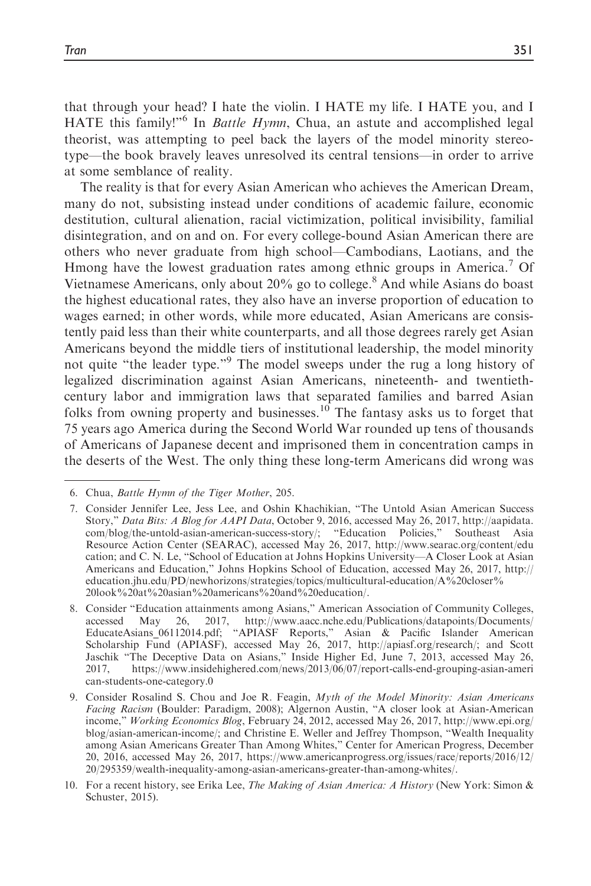that through your head? I hate the violin. I HATE my life. I HATE you, and I HATE this family!"<sup>6</sup> In *Battle Hymn*, Chua, an astute and accomplished legal theorist, was attempting to peel back the layers of the model minority stereotype—the book bravely leaves unresolved its central tensions—in order to arrive at some semblance of reality.

The reality is that for every Asian American who achieves the American Dream, many do not, subsisting instead under conditions of academic failure, economic destitution, cultural alienation, racial victimization, political invisibility, familial disintegration, and on and on. For every college-bound Asian American there are others who never graduate from high school—Cambodians, Laotians, and the Hmong have the lowest graduation rates among ethnic groups in America.<sup>7</sup> Of Vietnamese Americans, only about  $20\%$  go to college.<sup>8</sup> And while Asians do boast the highest educational rates, they also have an inverse proportion of education to wages earned; in other words, while more educated, Asian Americans are consistently paid less than their white counterparts, and all those degrees rarely get Asian Americans beyond the middle tiers of institutional leadership, the model minority not quite "the leader type."<sup>9</sup> The model sweeps under the rug a long history of legalized discrimination against Asian Americans, nineteenth- and twentiethcentury labor and immigration laws that separated families and barred Asian folks from owning property and businesses.<sup>10</sup> The fantasy asks us to forget that 75 years ago America during the Second World War rounded up tens of thousands of Americans of Japanese decent and imprisoned them in concentration camps in the deserts of the West. The only thing these long-term Americans did wrong was

- 8. Consider "Education attainments among Asians," American Association of Community Colleges, accessed May 26, 2017, [http://www.aacc.nche.edu/Publications/datapoints/Documents/](http://www.aacc.nche.edu/Publications/datapoints/Documents/EducateAsians_06112014.pdf) [EducateAsians\\_06112014.pdf](http://www.aacc.nche.edu/Publications/datapoints/Documents/EducateAsians_06112014.pdf); "APIASF Reports," Asian & Pacific Islander American Scholarship Fund (APIASF), accessed May 26, 2017, [http://apiasf.org/research/;](http://apiasf.org/research/) and Scott Jaschik "The Deceptive Data on Asians," Inside Higher Ed, June 7, 2013, accessed May 26, 2017, [https://www.insidehighered.com/news/2013/06/07/report-calls-end-grouping-asian-ameri](https://www.insidehighered.com/news/2013/06/07/report-calls-end-grouping-asian-american-students-one-category.0) [can-students-one-category.0](https://www.insidehighered.com/news/2013/06/07/report-calls-end-grouping-asian-american-students-one-category.0)
- 9. Consider Rosalind S. Chou and Joe R. Feagin, Myth of the Model Minority: Asian Americans Facing Racism (Boulder: Paradigm, 2008); Algernon Austin, "A closer look at Asian-American income," Working Economics Blog, February 24, 2012, accessed May 26, 2017, [http://www.epi.org/](http://www.epi.org/blog/asian-american-income/) [blog/asian-american-income/](http://www.epi.org/blog/asian-american-income/); and Christine E. Weller and Jeffrey Thompson, "Wealth Inequality among Asian Americans Greater Than Among Whites," Center for American Progress, December 20, 2016, accessed May 26, 2017, [https://www.americanprogress.org/issues/race/reports/2016/12/](https://www.americanprogress.org/issues/race/reports/2016/12/20/295359/wealth-inequality-among-asian-americans-greater-than-among-whites/) [20/295359/wealth-inequality-among-asian-americans-greater-than-among-whites/.](https://www.americanprogress.org/issues/race/reports/2016/12/20/295359/wealth-inequality-among-asian-americans-greater-than-among-whites/)
- 10. For a recent history, see Erika Lee, The Making of Asian America: A History (New York: Simon & Schuster, 2015).

<sup>6.</sup> Chua, Battle Hymn of the Tiger Mother, 205.

<sup>7.</sup> Consider Jennifer Lee, Jess Lee, and Oshin Khachikian, "The Untold Asian American Success Story," Data Bits: A Blog for AAPI Data, October 9, 2016, accessed May 26, 2017, [http://aapidata.](http://aapidata.com/blog/the-untold-asian-american-success-story/) [com/blog/the-untold-asian-american-success-story/;](http://aapidata.com/blog/the-untold-asian-american-success-story/) "Education Policies," Southeast Asia Resource Action Center (SEARAC), accessed May 26, 2017, [http://www.searac.org/content/edu](http://www.searac.org/content/education) [cation](http://www.searac.org/content/education); and C. N. Le, "School of Education at Johns Hopkins University—A Closer Look at Asian Americans and Education," Johns Hopkins School of Education, accessed May 26, 2017, [http://](http://education.jhu.edu/PD/newhorizons/strategies/topics/multicultural-education/A%20closer%20look%20at%20asian%20americans%20and%20education/) [education.jhu.edu/PD/newhorizons/strategies/topics/multicultural-education/A%20closer](http://education.jhu.edu/PD/newhorizons/strategies/topics/multicultural-education/A%20closer%20look%20at%20asian%20americans%20and%20education/)% [20look%20at%20asian%20americans%20and%20education/.](http://education.jhu.edu/PD/newhorizons/strategies/topics/multicultural-education/A%20closer%20look%20at%20asian%20americans%20and%20education/)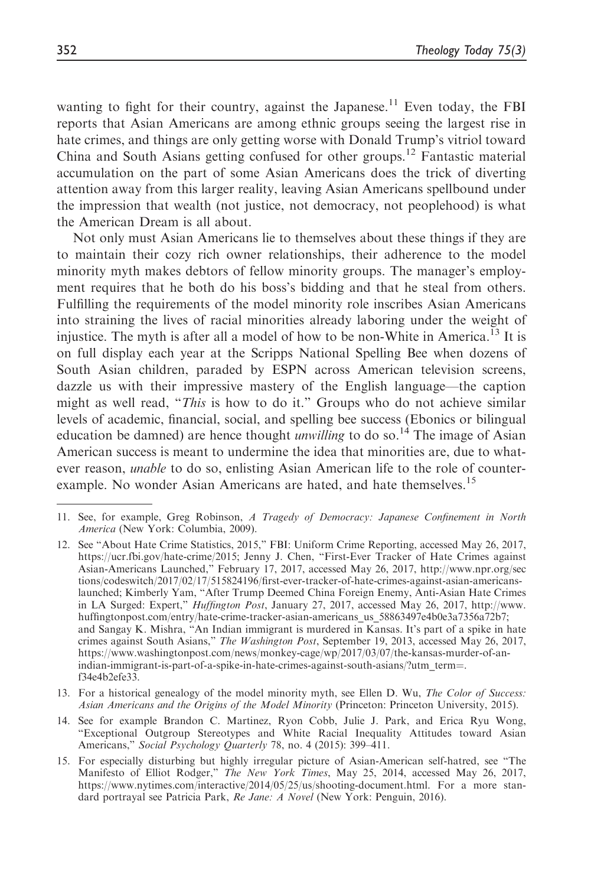wanting to fight for their country, against the Japanese.<sup>11</sup> Even today, the FBI reports that Asian Americans are among ethnic groups seeing the largest rise in hate crimes, and things are only getting worse with Donald Trump's vitriol toward China and South Asians getting confused for other groups.12 Fantastic material accumulation on the part of some Asian Americans does the trick of diverting attention away from this larger reality, leaving Asian Americans spellbound under the impression that wealth (not justice, not democracy, not peoplehood) is what the American Dream is all about.

Not only must Asian Americans lie to themselves about these things if they are to maintain their cozy rich owner relationships, their adherence to the model minority myth makes debtors of fellow minority groups. The manager's employment requires that he both do his boss's bidding and that he steal from others. Fulfilling the requirements of the model minority role inscribes Asian Americans into straining the lives of racial minorities already laboring under the weight of injustice. The myth is after all a model of how to be non-White in America.<sup>13</sup> It is on full display each year at the Scripps National Spelling Bee when dozens of South Asian children, paraded by ESPN across American television screens, dazzle us with their impressive mastery of the English language—the caption might as well read, "This is how to do it." Groups who do not achieve similar levels of academic, financial, social, and spelling bee success (Ebonics or bilingual education be damned) are hence thought *unwilling* to do so.<sup>14</sup> The image of Asian American success is meant to undermine the idea that minorities are, due to whatever reason, *unable* to do so, enlisting Asian American life to the role of counterexample. No wonder Asian Americans are hated, and hate themselves.<sup>15</sup>

13. For a historical genealogy of the model minority myth, see Ellen D. Wu, The Color of Success: Asian Americans and the Origins of the Model Minority (Princeton: Princeton University, 2015).

14. See for example Brandon C. Martinez, Ryon Cobb, Julie J. Park, and Erica Ryu Wong, "Exceptional Outgroup Stereotypes and White Racial Inequality Attitudes toward Asian Americans," Social Psychology Quarterly 78, no. 4 (2015): 399-411.

<sup>11.</sup> See, for example, Greg Robinson, A Tragedy of Democracy: Japanese Confinement in North America (New York: Columbia, 2009).

<sup>12.</sup> See "About Hate Crime Statistics, 2015," FBI: Uniform Crime Reporting, accessed May 26, 2017, <https://ucr.fbi.gov/hate-crime/2015>; Jenny J. Chen, "First-Ever Tracker of Hate Crimes against Asian-Americans Launched," February 17, 2017, accessed May 26, 2017, [http://www.npr.org/sec](http://www.npr.org/sections/codeswitch/2017/02/17/515824196/first-ever-tracker-of-hate-crimes-against-asian-americans-launched; Kimberly Yam) [tions/codeswitch/2017/02/17/515824196/first-ever-tracker-of-hate-crimes-against-asian-americans](http://www.npr.org/sections/codeswitch/2017/02/17/515824196/first-ever-tracker-of-hate-crimes-against-asian-americans-launched; Kimberly Yam)[launched; Kimberly Yam](http://www.npr.org/sections/codeswitch/2017/02/17/515824196/first-ever-tracker-of-hate-crimes-against-asian-americans-launched; Kimberly Yam), "After Trump Deemed China Foreign Enemy, Anti-Asian Hate Crimes in LA Surged: Expert," Huffington Post, January 27, 2017, accessed May 26, 2017, [http://www.](http://www.huffingtonpost.com/entry/hate-crime-tracker-asian-americans_us_58863497e4b0e3a7356a72b7) [huffingtonpost.com/entry/hate-crime-tracker-asian-americans\\_us\\_58863497e4b0e3a7356a72b7](http://www.huffingtonpost.com/entry/hate-crime-tracker-asian-americans_us_58863497e4b0e3a7356a72b7); and Sangay K. Mishra, "An Indian immigrant is murdered in Kansas. It's part of a spike in hate crimes against South Asians," The Washington Post, September 19, 2013, accessed May 26, 2017, [https://www.washingtonpost.com/news/monkey-cage/wp/2017/03/07/the-kansas-murder-of-an](https://www.washingtonpost.com/news/monkey-cage/wp/2017/03/07/the-kansas-murder-of-an-indian-immigrant-is-part-of-a-spike-in-hate-crimes-against-south-asians/?utm_term=.f34e4b2efe33)[indian-immigrant-is-part-of-a-spike-in-hate-crimes-against-south-asians/?utm\\_term](https://www.washingtonpost.com/news/monkey-cage/wp/2017/03/07/the-kansas-murder-of-an-indian-immigrant-is-part-of-a-spike-in-hate-crimes-against-south-asians/?utm_term=.f34e4b2efe33)=[.](https://www.washingtonpost.com/news/monkey-cage/wp/2017/03/07/the-kansas-murder-of-an-indian-immigrant-is-part-of-a-spike-in-hate-crimes-against-south-asians/?utm_term=.f34e4b2efe33) [f34e4b2efe33.](https://www.washingtonpost.com/news/monkey-cage/wp/2017/03/07/the-kansas-murder-of-an-indian-immigrant-is-part-of-a-spike-in-hate-crimes-against-south-asians/?utm_term=.f34e4b2efe33)

<sup>15.</sup> For especially disturbing but highly irregular picture of Asian-American self-hatred, see "The Manifesto of Elliot Rodger," The New York Times, May 25, 2014, accessed May 26, 2017, <https://www.nytimes.com/interactive/2014/05/25/us/shooting-document.html>. For a more standard portrayal see Patricia Park, Re Jane: A Novel (New York: Penguin, 2016).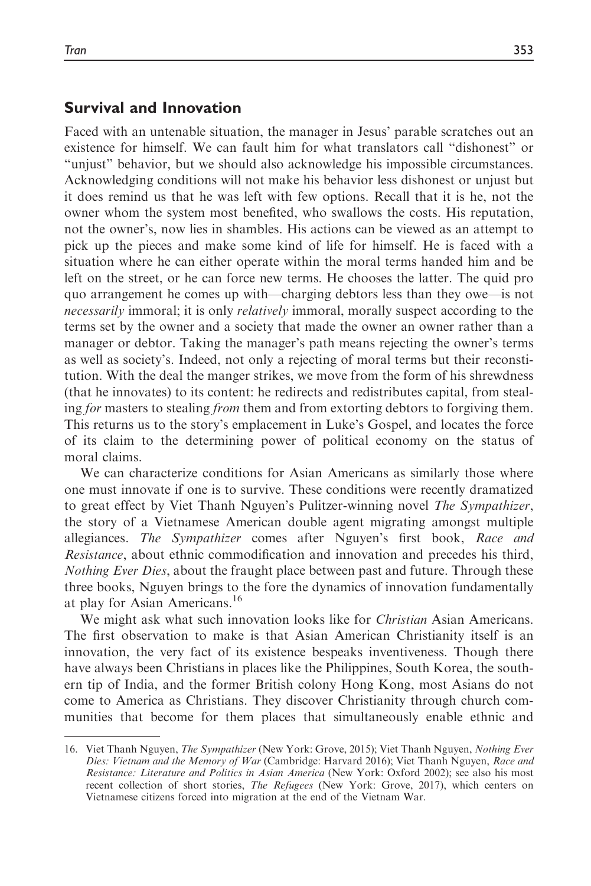### Survival and Innovation

Faced with an untenable situation, the manager in Jesus' parable scratches out an existence for himself. We can fault him for what translators call "dishonest" or "unjust" behavior, but we should also acknowledge his impossible circumstances. Acknowledging conditions will not make his behavior less dishonest or unjust but it does remind us that he was left with few options. Recall that it is he, not the owner whom the system most benefited, who swallows the costs. His reputation, not the owner's, now lies in shambles. His actions can be viewed as an attempt to pick up the pieces and make some kind of life for himself. He is faced with a situation where he can either operate within the moral terms handed him and be left on the street, or he can force new terms. He chooses the latter. The quid pro quo arrangement he comes up with—charging debtors less than they owe—is not necessarily immoral; it is only relatively immoral, morally suspect according to the terms set by the owner and a society that made the owner an owner rather than a manager or debtor. Taking the manager's path means rejecting the owner's terms as well as society's. Indeed, not only a rejecting of moral terms but their reconstitution. With the deal the manger strikes, we move from the form of his shrewdness (that he innovates) to its content: he redirects and redistributes capital, from stealing for masters to stealing from them and from extorting debtors to forgiving them. This returns us to the story's emplacement in Luke's Gospel, and locates the force of its claim to the determining power of political economy on the status of moral claims.

We can characterize conditions for Asian Americans as similarly those where one must innovate if one is to survive. These conditions were recently dramatized to great effect by Viet Thanh Nguyen's Pulitzer-winning novel The Sympathizer, the story of a Vietnamese American double agent migrating amongst multiple allegiances. The Sympathizer comes after Nguyen's first book, Race and Resistance, about ethnic commodification and innovation and precedes his third, Nothing Ever Dies, about the fraught place between past and future. Through these three books, Nguyen brings to the fore the dynamics of innovation fundamentally at play for Asian Americans.<sup>16</sup>

We might ask what such innovation looks like for Christian Asian Americans. The first observation to make is that Asian American Christianity itself is an innovation, the very fact of its existence bespeaks inventiveness. Though there have always been Christians in places like the Philippines, South Korea, the southern tip of India, and the former British colony Hong Kong, most Asians do not come to America as Christians. They discover Christianity through church communities that become for them places that simultaneously enable ethnic and

<sup>16.</sup> Viet Thanh Nguyen, *The Sympathizer* (New York: Grove, 2015); Viet Thanh Nguyen, *Nothing Ever* Dies: Vietnam and the Memory of War (Cambridge: Harvard 2016); Viet Thanh Nguyen, Race and Resistance: Literature and Politics in Asian America (New York: Oxford 2002); see also his most recent collection of short stories, The Refugees (New York: Grove, 2017), which centers on Vietnamese citizens forced into migration at the end of the Vietnam War.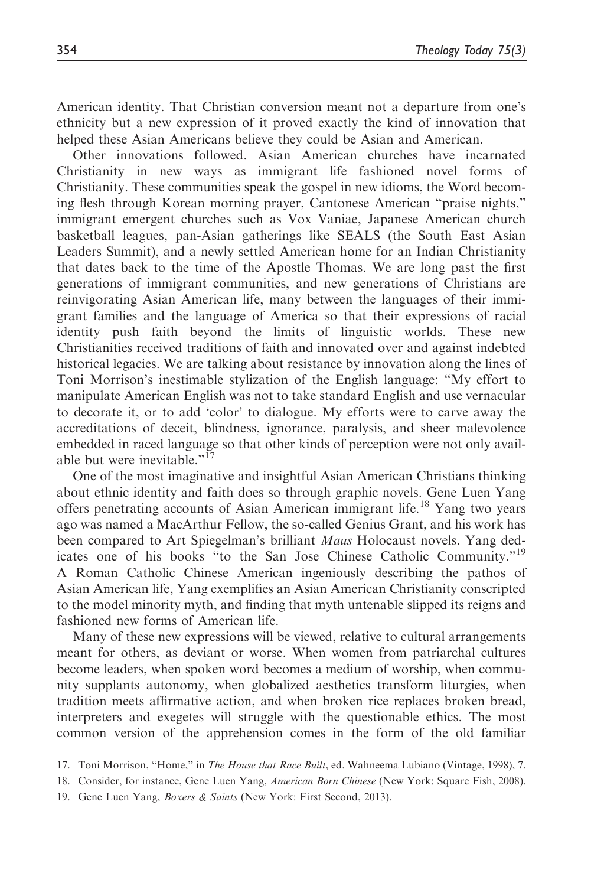American identity. That Christian conversion meant not a departure from one's ethnicity but a new expression of it proved exactly the kind of innovation that helped these Asian Americans believe they could be Asian and American.

Other innovations followed. Asian American churches have incarnated Christianity in new ways as immigrant life fashioned novel forms of Christianity. These communities speak the gospel in new idioms, the Word becoming flesh through Korean morning prayer, Cantonese American "praise nights," immigrant emergent churches such as Vox Vaniae, Japanese American church basketball leagues, pan-Asian gatherings like SEALS (the South East Asian Leaders Summit), and a newly settled American home for an Indian Christianity that dates back to the time of the Apostle Thomas. We are long past the first generations of immigrant communities, and new generations of Christians are reinvigorating Asian American life, many between the languages of their immigrant families and the language of America so that their expressions of racial identity push faith beyond the limits of linguistic worlds. These new Christianities received traditions of faith and innovated over and against indebted historical legacies. We are talking about resistance by innovation along the lines of Toni Morrison's inestimable stylization of the English language: "My effort to manipulate American English was not to take standard English and use vernacular to decorate it, or to add 'color' to dialogue. My efforts were to carve away the accreditations of deceit, blindness, ignorance, paralysis, and sheer malevolence embedded in raced language so that other kinds of perception were not only available but were inevitable." $^{17}$ 

One of the most imaginative and insightful Asian American Christians thinking about ethnic identity and faith does so through graphic novels. Gene Luen Yang offers penetrating accounts of Asian American immigrant life.<sup>18</sup> Yang two years ago was named a MacArthur Fellow, the so-called Genius Grant, and his work has been compared to Art Spiegelman's brilliant *Maus* Holocaust novels. Yang dedicates one of his books "to the San Jose Chinese Catholic Community."<sup>19</sup> A Roman Catholic Chinese American ingeniously describing the pathos of Asian American life, Yang exemplifies an Asian American Christianity conscripted to the model minority myth, and finding that myth untenable slipped its reigns and fashioned new forms of American life.

Many of these new expressions will be viewed, relative to cultural arrangements meant for others, as deviant or worse. When women from patriarchal cultures become leaders, when spoken word becomes a medium of worship, when community supplants autonomy, when globalized aesthetics transform liturgies, when tradition meets affirmative action, and when broken rice replaces broken bread, interpreters and exegetes will struggle with the questionable ethics. The most common version of the apprehension comes in the form of the old familiar

<sup>17.</sup> Toni Morrison, "Home," in The House that Race Built, ed. Wahneema Lubiano (Vintage, 1998), 7.

<sup>18.</sup> Consider, for instance, Gene Luen Yang, American Born Chinese (New York: Square Fish, 2008).

<sup>19.</sup> Gene Luen Yang, Boxers & Saints (New York: First Second, 2013).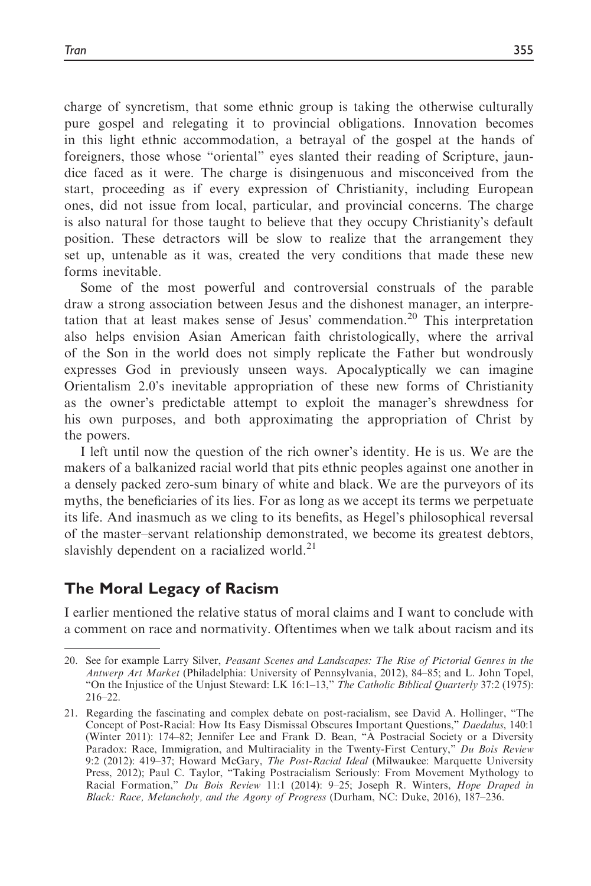charge of syncretism, that some ethnic group is taking the otherwise culturally pure gospel and relegating it to provincial obligations. Innovation becomes in this light ethnic accommodation, a betrayal of the gospel at the hands of foreigners, those whose "oriental" eyes slanted their reading of Scripture, jaundice faced as it were. The charge is disingenuous and misconceived from the start, proceeding as if every expression of Christianity, including European ones, did not issue from local, particular, and provincial concerns. The charge is also natural for those taught to believe that they occupy Christianity's default position. These detractors will be slow to realize that the arrangement they set up, untenable as it was, created the very conditions that made these new forms inevitable.

Some of the most powerful and controversial construals of the parable draw a strong association between Jesus and the dishonest manager, an interpretation that at least makes sense of Jesus' commendation.<sup>20</sup> This interpretation also helps envision Asian American faith christologically, where the arrival of the Son in the world does not simply replicate the Father but wondrously expresses God in previously unseen ways. Apocalyptically we can imagine Orientalism 2.0's inevitable appropriation of these new forms of Christianity as the owner's predictable attempt to exploit the manager's shrewdness for his own purposes, and both approximating the appropriation of Christ by the powers.

I left until now the question of the rich owner's identity. He is us. We are the makers of a balkanized racial world that pits ethnic peoples against one another in a densely packed zero-sum binary of white and black. We are the purveyors of its myths, the beneficiaries of its lies. For as long as we accept its terms we perpetuate its life. And inasmuch as we cling to its benefits, as Hegel's philosophical reversal of the master–servant relationship demonstrated, we become its greatest debtors, slavishly dependent on a racialized world. $^{21}$ 

## The Moral Legacy of Racism

I earlier mentioned the relative status of moral claims and I want to conclude with a comment on race and normativity. Oftentimes when we talk about racism and its

<sup>20.</sup> See for example Larry Silver, Peasant Scenes and Landscapes: The Rise of Pictorial Genres in the Antwerp Art Market (Philadelphia: University of Pennsylvania, 2012), 84–85; and L. John Topel, "On the Injustice of the Unjust Steward: LK 16:1–13," The Catholic Biblical Quarterly 37:2 (1975): 216–22.

<sup>21.</sup> Regarding the fascinating and complex debate on post-racialism, see David A. Hollinger, "The Concept of Post-Racial: How Its Easy Dismissal Obscures Important Questions," Daedalus, 140:1 (Winter 2011): 174–82; Jennifer Lee and Frank D. Bean, "A Postracial Society or a Diversity Paradox: Race, Immigration, and Multiraciality in the Twenty-First Century," Du Bois Review 9:2 (2012): 419–37; Howard McGary, The Post-Racial Ideal (Milwaukee: Marquette University Press, 2012); Paul C. Taylor, "Taking Postracialism Seriously: From Movement Mythology to Racial Formation," Du Bois Review 11:1 (2014): 9–25; Joseph R. Winters, Hope Draped in Black: Race, Melancholy, and the Agony of Progress (Durham, NC: Duke, 2016), 187–236.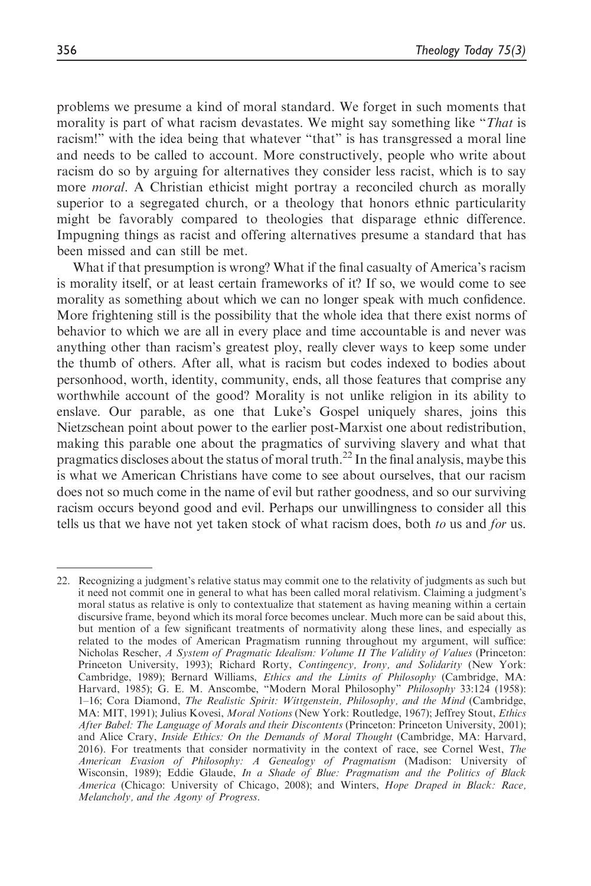problems we presume a kind of moral standard. We forget in such moments that morality is part of what racism devastates. We might say something like "That is racism!" with the idea being that whatever "that" is has transgressed a moral line and needs to be called to account. More constructively, people who write about racism do so by arguing for alternatives they consider less racist, which is to say more *moral*. A Christian ethicist might portray a reconciled church as morally superior to a segregated church, or a theology that honors ethnic particularity might be favorably compared to theologies that disparage ethnic difference. Impugning things as racist and offering alternatives presume a standard that has been missed and can still be met.

What if that presumption is wrong? What if the final casualty of America's racism is morality itself, or at least certain frameworks of it? If so, we would come to see morality as something about which we can no longer speak with much confidence. More frightening still is the possibility that the whole idea that there exist norms of behavior to which we are all in every place and time accountable is and never was anything other than racism's greatest ploy, really clever ways to keep some under the thumb of others. After all, what is racism but codes indexed to bodies about personhood, worth, identity, community, ends, all those features that comprise any worthwhile account of the good? Morality is not unlike religion in its ability to enslave. Our parable, as one that Luke's Gospel uniquely shares, joins this Nietzschean point about power to the earlier post-Marxist one about redistribution, making this parable one about the pragmatics of surviving slavery and what that pragmatics discloses about the status of moral truth.<sup>22</sup> In the final analysis, maybe this is what we American Christians have come to see about ourselves, that our racism does not so much come in the name of evil but rather goodness, and so our surviving racism occurs beyond good and evil. Perhaps our unwillingness to consider all this tells us that we have not yet taken stock of what racism does, both to us and for us.

<sup>22.</sup> Recognizing a judgment's relative status may commit one to the relativity of judgments as such but it need not commit one in general to what has been called moral relativism. Claiming a judgment's moral status as relative is only to contextualize that statement as having meaning within a certain discursive frame, beyond which its moral force becomes unclear. Much more can be said about this, but mention of a few significant treatments of normativity along these lines, and especially as related to the modes of American Pragmatism running throughout my argument, will suffice: Nicholas Rescher, A System of Pragmatic Idealism: Volume II The Validity of Values (Princeton: Princeton University, 1993); Richard Rorty, Contingency, Irony, and Solidarity (New York: Cambridge, 1989); Bernard Williams, Ethics and the Limits of Philosophy (Cambridge, MA: Harvard, 1985); G. E. M. Anscombe, "Modern Moral Philosophy" Philosophy 33:124 (1958): 1-16; Cora Diamond, The Realistic Spirit: Wittgenstein, Philosophy, and the Mind (Cambridge, MA: MIT, 1991); Julius Kovesi, Moral Notions (New York: Routledge, 1967); Jeffrey Stout, Ethics After Babel: The Language of Morals and their Discontents (Princeton: Princeton University, 2001); and Alice Crary, Inside Ethics: On the Demands of Moral Thought (Cambridge, MA: Harvard, 2016). For treatments that consider normativity in the context of race, see Cornel West, The American Evasion of Philosophy: A Genealogy of Pragmatism (Madison: University of Wisconsin, 1989); Eddie Glaude, In a Shade of Blue: Pragmatism and the Politics of Black America (Chicago: University of Chicago, 2008); and Winters, *Hope Draped in Black: Race*, Melancholy, and the Agony of Progress.